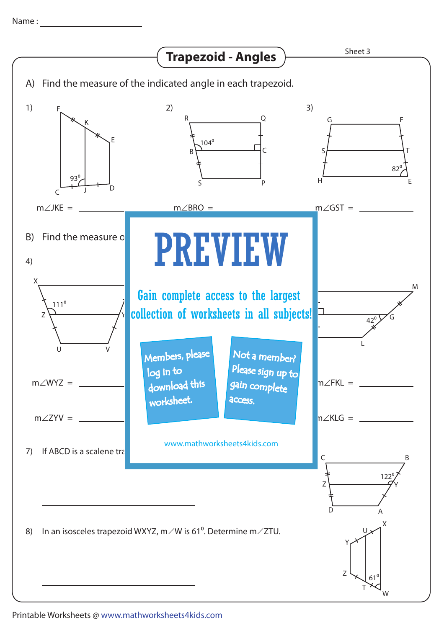